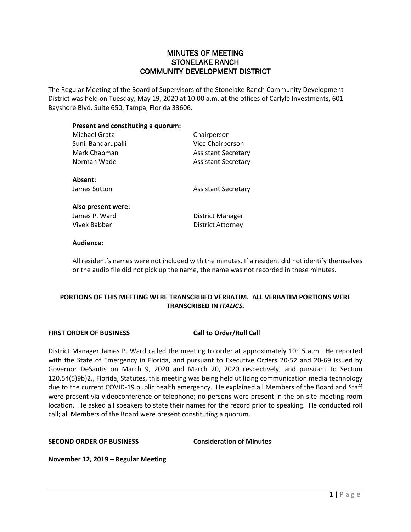# MINUTES OF MEETING STONELAKE RANCH COMMUNITY DEVELOPMENT DISTRICT

The Regular Meeting of the Board of Supervisors of the Stonelake Ranch Community Development District was held on Tuesday, May 19, 2020 at 10:00 a.m. at the offices of Carlyle Investments, 601 Bayshore Blvd. Suite 650, Tampa, Florida 33606.

# **Present and constituting a quorum:**

| Michael Gratz      | Chairperson                |
|--------------------|----------------------------|
| Sunil Bandarupalli | Vice Chairperson           |
| Mark Chapman       | <b>Assistant Secretary</b> |
| Norman Wade        | <b>Assistant Secretary</b> |
| Absent:            |                            |
| James Sutton       | <b>Assistant Secretary</b> |
| Also present were: |                            |
| James P. Ward      | District Manager           |
| Vivek Babbar       | <b>District Attorney</b>   |
|                    |                            |

# **Audience:**

All resident's names were not included with the minutes. If a resident did not identify themselves or the audio file did not pick up the name, the name was not recorded in these minutes.

# **PORTIONS OF THIS MEETING WERE TRANSCRIBED VERBATIM. ALL VERBATIM PORTIONS WERE TRANSCRIBED IN** *ITALICS***.**

## **FIRST ORDER OF BUSINESS Call to Order/Roll Call**

District Manager James P. Ward called the meeting to order at approximately 10:15 a.m. He reported with the State of Emergency in Florida, and pursuant to Executive Orders 20-52 and 20-69 issued by Governor DeSantis on March 9, 2020 and March 20, 2020 respectively, and pursuant to Section 120.54(5)9b)2., Florida, Statutes, this meeting was being held utilizing communication media technology due to the current COVID-19 public health emergency. He explained all Members of the Board and Staff were present via videoconference or telephone; no persons were present in the on-site meeting room location. He asked all speakers to state their names for the record prior to speaking. He conducted roll call; all Members of the Board were present constituting a quorum.

**SECOND ORDER OF BUSINESS Consideration of Minutes**

**November 12, 2019 – Regular Meeting**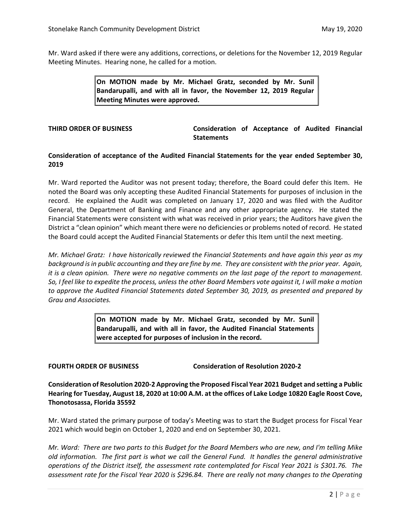Mr. Ward asked if there were any additions, corrections, or deletions for the November 12, 2019 Regular Meeting Minutes. Hearing none, he called for a motion.

> **On MOTION made by Mr. Michael Gratz, seconded by Mr. Sunil Bandarupalli, and with all in favor, the November 12, 2019 Regular Meeting Minutes were approved.**

**THIRD ORDER OF BUSINESS Consideration of Acceptance of Audited Financial Statements**

# **Consideration of acceptance of the Audited Financial Statements for the year ended September 30, 2019**

Mr. Ward reported the Auditor was not present today; therefore, the Board could defer this Item. He noted the Board was only accepting these Audited Financial Statements for purposes of inclusion in the record. He explained the Audit was completed on January 17, 2020 and was filed with the Auditor General, the Department of Banking and Finance and any other appropriate agency. He stated the Financial Statements were consistent with what was received in prior years; the Auditors have given the District a "clean opinion" which meant there were no deficiencies or problems noted of record. He stated the Board could accept the Audited Financial Statements or defer this Item until the next meeting.

*Mr. Michael Gratz: I have historically reviewed the Financial Statements and have again this year as my background is in public accounting and they are fine by me. They are consistent with the prior year. Again, it is a clean opinion. There were no negative comments on the last page of the report to management. So, I feel like to expedite the process, unless the other Board Members vote against it, I will make a motion to approve the Audited Financial Statements dated September 30, 2019, as presented and prepared by Grau and Associates.* 

> **On MOTION made by Mr. Michael Gratz, seconded by Mr. Sunil Bandarupalli, and with all in favor, the Audited Financial Statements were accepted for purposes of inclusion in the record.**

**FOURTH ORDER OF BUSINESS Consideration of Resolution 2020-2**

**Consideration of Resolution 2020-2 Approving the Proposed Fiscal Year 2021 Budget and setting a Public Hearing for Tuesday, August 18, 2020 at 10:00 A.M. at the offices of Lake Lodge 10820 Eagle Roost Cove, Thonotosassa, Florida 35592**

Mr. Ward stated the primary purpose of today's Meeting was to start the Budget process for Fiscal Year 2021 which would begin on October 1, 2020 and end on September 30, 2021.

*Mr. Ward: There are two parts to this Budget for the Board Members who are new, and I'm telling Mike old information. The first part is what we call the General Fund. It handles the general administrative operations of the District itself, the assessment rate contemplated for Fiscal Year 2021 is \$301.76. The assessment rate for the Fiscal Year 2020 is \$296.84. There are really not many changes to the Operating*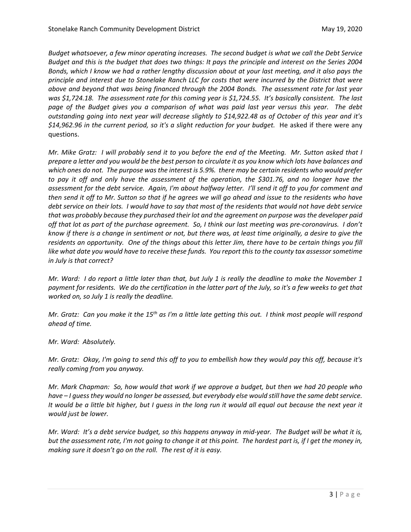*Budget whatsoever, a few minor operating increases. The second budget is what we call the Debt Service Budget and this is the budget that does two things: It pays the principle and interest on the Series 2004 Bonds, which I know we had a rather lengthy discussion about at your last meeting, and it also pays the principle and interest due to Stonelake Ranch LLC for costs that were incurred by the District that were above and beyond that was being financed through the 2004 Bonds. The assessment rate for last year was \$1,724.18. The assessment rate for this coming year is \$1,724.55. It's basically consistent. The last page of the Budget gives you a comparison of what was paid last year versus this year. The debt outstanding going into next year will decrease slightly to \$14,922.48 as of October of this year and it's \$14,962.96 in the current period, so it's a slight reduction for your budget.* He asked if there were any questions.

*Mr. Mike Gratz: I will probably send it to you before the end of the Meeting. Mr. Sutton asked that I prepare a letter and you would be the best person to circulate it as you know which lots have balances and which ones do not. The purpose was the interest is 5.9%. there may be certain residents who would prefer to pay it off and only have the assessment of the operation, the \$301.76, and no longer have the assessment for the debt service. Again, I'm about halfway letter. I'll send it off to you for comment and then send it off to Mr. Sutton so that if he agrees we will go ahead and issue to the residents who have debt service on their lots. I would have to say that most of the residents that would not have debt service that was probably because they purchased their lot and the agreement on purpose was the developer paid off that lot as part of the purchase agreement. So, I think our last meeting was pre-coronavirus. I don't know if there is a change in sentiment or not, but there was, at least time originally, a desire to give the residents an opportunity. One of the things about this letter Jim, there have to be certain things you fill like what date you would have to receive these funds. You report this to the county tax assessor sometime in July is that correct?*

*Mr. Ward: I do report a little later than that, but July 1 is really the deadline to make the November 1*  payment for residents. We do the certification in the latter part of the July, so it's a few weeks to get that *worked on, so July 1 is really the deadline.* 

*Mr. Gratz: Can you make it the 15th as I'm a little late getting this out. I think most people will respond ahead of time.* 

*Mr. Ward: Absolutely.*

*Mr. Gratz: Okay, I'm going to send this off to you to embellish how they would pay this off, because it's really coming from you anyway.* 

*Mr. Mark Chapman: So, how would that work if we approve a budget, but then we had 20 people who have – I guess they would no longer be assessed, but everybody else would still have the same debt service. It would be a little bit higher, but I guess in the long run it would all equal out because the next year it would just be lower.* 

*Mr. Ward: It's a debt service budget, so this happens anyway in mid-year. The Budget will be what it is, but the assessment rate, I'm not going to change it at this point. The hardest part is, if I get the money in, making sure it doesn't go on the roll. The rest of it is easy.*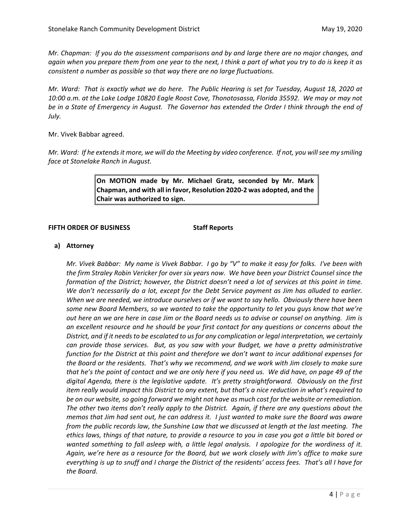*Mr. Chapman: If you do the assessment comparisons and by and large there are no major changes, and again when you prepare them from one year to the next, I think a part of what you try to do is keep it as consistent a number as possible so that way there are no large fluctuations.* 

*Mr. Ward: That is exactly what we do here. The Public Hearing is set for Tuesday, August 18, 2020 at 10:00 a.m. at the Lake Lodge 10820 Eagle Roost Cove, Thonotosassa, Florida 35592. We may or may not be in a State of Emergency in August. The Governor has extended the Order I think through the end of July.* 

Mr. Vivek Babbar agreed.

*Mr. Ward: If he extends it more, we will do the Meeting by video conference. If not, you will see my smiling face at Stonelake Ranch in August.* 

> **On MOTION made by Mr. Michael Gratz, seconded by Mr. Mark Chapman, and with all in favor, Resolution 2020-2 was adopted, and the Chair was authorized to sign.**

### **FIFTH ORDER OF BUSINESS Staff Reports**

# **a) Attorney**

*Mr. Vivek Babbar: My name is Vivek Babbar. I go by "V" to make it easy for folks. I've been with the firm Straley Robin Vericker for over six years now. We have been your District Counsel since the formation of the District; however, the District doesn't need a lot of services at this point in time. We don't necessarily do a lot, except for the Debt Service payment as Jim has alluded to earlier. When we are needed, we introduce ourselves or if we want to say hello. Obviously there have been some new Board Members, so we wanted to take the opportunity to let you guys know that we're out here an we are here in case Jim or the Board needs us to advise or counsel on anything. Jim is an excellent resource and he should be your first contact for any questions or concerns about the District, and if it needs to be escalated to us for any complication or legal interpretation, we certainly can provide those services. But, as you saw with your Budget, we have a pretty administrative function for the District at this point and therefore we don't want to incur additional expenses for the Board or the residents. That's why we recommend, and we work with Jim closely to make sure that he's the point of contact and we are only here if you need us. We did have, on page 49 of the digital Agenda, there is the legislative update. It's pretty straightforward. Obviously on the first item really would impact this District to any extent, but that's a nice reduction in what's required to be on our website, so going forward we might not have as much cost for the website or remediation. The other two items don't really apply to the District. Again, if there are any questions about the memos that Jim had sent out, he can address it. I just wanted to make sure the Board was aware from the public records law, the Sunshine Law that we discussed at length at the last meeting. The ethics laws, things of that nature, to provide a resource to you in case you got a little bit bored or wanted something to fall asleep with, a little legal analysis. I apologize for the wordiness of it. Again, we're here as a resource for the Board, but we work closely with Jim's office to make sure everything is up to snuff and I charge the District of the residents' access fees. That's all I have for the Board.*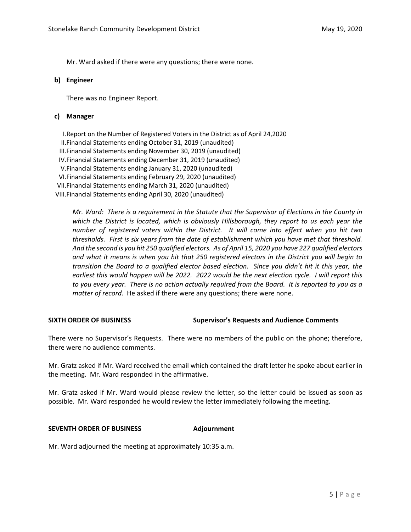Mr. Ward asked if there were any questions; there were none.

# **b) Engineer**

There was no Engineer Report.

# **c) Manager**

I.Report on the Number of Registered Voters in the District as of April 24,2020 II.Financial Statements ending October 31, 2019 (unaudited) III.Financial Statements ending November 30, 2019 (unaudited) IV.Financial Statements ending December 31, 2019 (unaudited) V.Financial Statements ending January 31, 2020 (unaudited) VI.Financial Statements ending February 29, 2020 (unaudited) VII.Financial Statements ending March 31, 2020 (unaudited) VIII.Financial Statements ending April 30, 2020 (unaudited)

*Mr. Ward: There is a requirement in the Statute that the Supervisor of Elections in the County in which the District is located, which is obviously Hillsborough, they report to us each year the number of registered voters within the District. It will come into effect when you hit two thresholds. First is six years from the date of establishment which you have met that threshold. And the second is you hit 250 qualified electors. As of April 15, 2020 you have 227 qualified electors and what it means is when you hit that 250 registered electors in the District you will begin to transition the Board to a qualified elector based election. Since you didn't hit it this year, the earliest this would happen will be 2022. 2022 would be the next election cycle. I will report this to you every year. There is no action actually required from the Board. It is reported to you as a matter of record.* He asked if there were any questions; there were none.

## **SIXTH ORDER OF BUSINESS Supervisor's Requests and Audience Comments**

There were no Supervisor's Requests. There were no members of the public on the phone; therefore, there were no audience comments.

Mr. Gratz asked if Mr. Ward received the email which contained the draft letter he spoke about earlier in the meeting. Mr. Ward responded in the affirmative.

Mr. Gratz asked if Mr. Ward would please review the letter, so the letter could be issued as soon as possible. Mr. Ward responded he would review the letter immediately following the meeting.

# **SEVENTH ORDER OF BUSINESS Adjournment**

Mr. Ward adjourned the meeting at approximately 10:35 a.m.